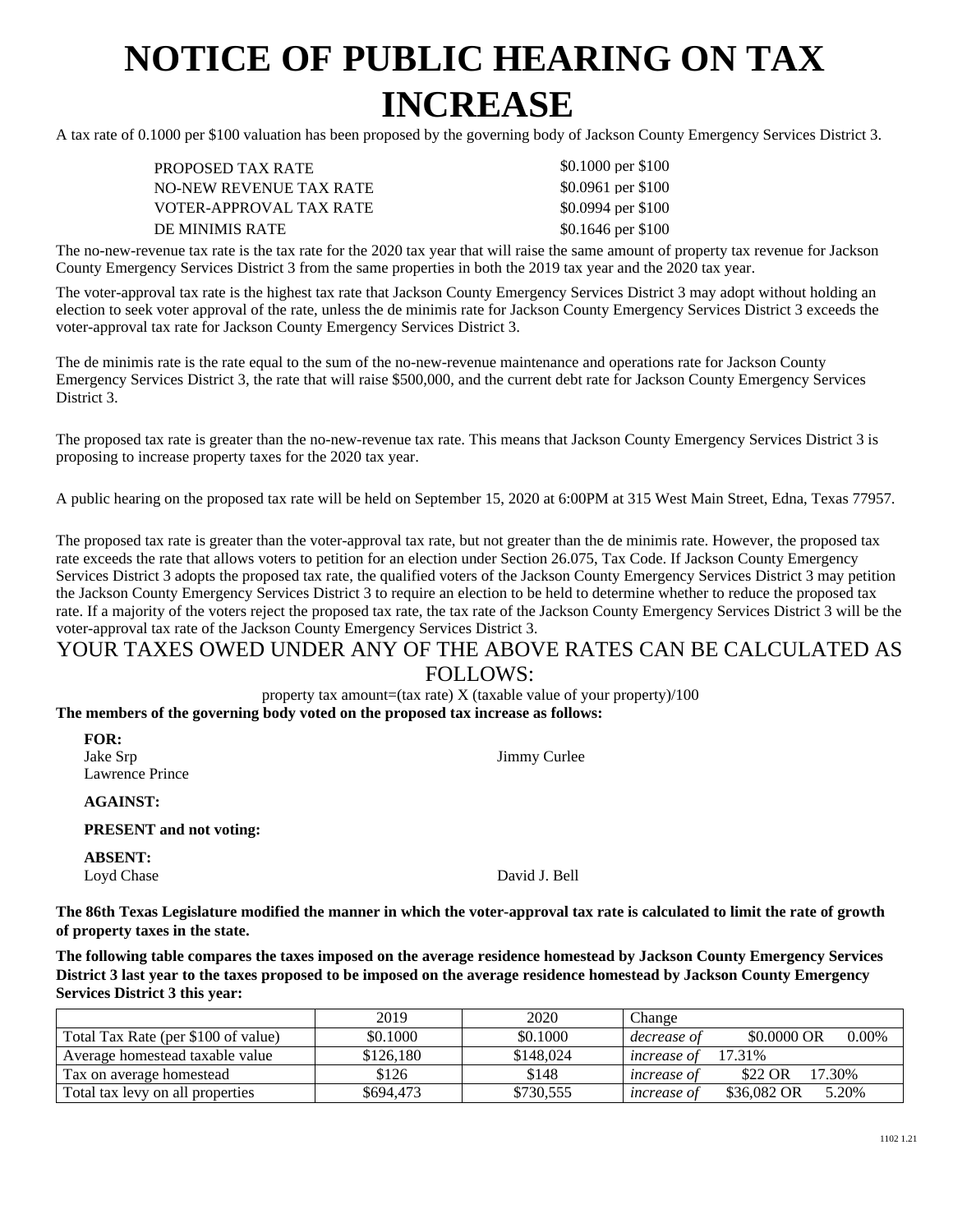## **NOTICE OF PUBLIC HEARING ON TAX INCREASE**

A tax rate of 0.1000 per \$100 valuation has been proposed by the governing body of Jackson County Emergency Services District 3.

| PROPOSED TAX RATE       | \$0.1000 per \$100  |
|-------------------------|---------------------|
| NO-NEW REVENUE TAX RATE | \$0.0961 per \$100  |
| VOTER-APPROVAL TAX RATE | \$0.0994 per \$100  |
| DE MINIMIS RATE         | $$0.1646$ per \$100 |

The no-new-revenue tax rate is the tax rate for the 2020 tax year that will raise the same amount of property tax revenue for Jackson County Emergency Services District 3 from the same properties in both the 2019 tax year and the 2020 tax year.

The voter-approval tax rate is the highest tax rate that Jackson County Emergency Services District 3 may adopt without holding an election to seek voter approval of the rate, unless the de minimis rate for Jackson County Emergency Services District 3 exceeds the voter-approval tax rate for Jackson County Emergency Services District 3.

The de minimis rate is the rate equal to the sum of the no-new-revenue maintenance and operations rate for Jackson County Emergency Services District 3, the rate that will raise \$500,000, and the current debt rate for Jackson County Emergency Services District 3.

The proposed tax rate is greater than the no-new-revenue tax rate. This means that Jackson County Emergency Services District 3 is proposing to increase property taxes for the 2020 tax year.

A public hearing on the proposed tax rate will be held on September 15, 2020 at 6:00PM at 315 West Main Street, Edna, Texas 77957.

The proposed tax rate is greater than the voter-approval tax rate, but not greater than the de minimis rate. However, the proposed tax rate exceeds the rate that allows voters to petition for an election under Section 26.075, Tax Code. If Jackson County Emergency Services District 3 adopts the proposed tax rate, the qualified voters of the Jackson County Emergency Services District 3 may petition the Jackson County Emergency Services District 3 to require an election to be held to determine whether to reduce the proposed tax rate. If a majority of the voters reject the proposed tax rate, the tax rate of the Jackson County Emergency Services District 3 will be the voter-approval tax rate of the Jackson County Emergency Services District 3.

## YOUR TAXES OWED UNDER ANY OF THE ABOVE RATES CAN BE CALCULATED AS FOLLOWS:

property tax amount=(tax rate)  $X$  (taxable value of your property)/100 **The members of the governing body voted on the proposed tax increase as follows:**

| <b>FOR:</b><br>Jake Srp<br>Lawrence Prince | Jimmy Curlee  |
|--------------------------------------------|---------------|
| <b>AGAINST:</b>                            |               |
| <b>PRESENT</b> and not voting:             |               |
| <b>ABSENT:</b><br>Loyd Chase               | David J. Bell |

**The 86th Texas Legislature modified the manner in which the voter-approval tax rate is calculated to limit the rate of growth of property taxes in the state.**

**The following table compares the taxes imposed on the average residence homestead by Jackson County Emergency Services District 3 last year to the taxes proposed to be imposed on the average residence homestead by Jackson County Emergency Services District 3 this year:**

|                                     | 2019      | 2020      | Change             |                         |
|-------------------------------------|-----------|-----------|--------------------|-------------------------|
| Total Tax Rate (per \$100 of value) | \$0.1000  | \$0.1000  | decrease of        | \$0,0000 OR<br>$0.00\%$ |
| Average homestead taxable value     | \$126.180 | \$148,024 | <i>increase of</i> | 17.31%                  |
| Tax on average homestead            | \$126     | \$148     | <i>increase of</i> | 17.30%<br>\$22 OR       |
| Total tax levy on all properties    | \$694.473 | \$730,555 | <i>increase of</i> | \$36,082 OR<br>5.20%    |